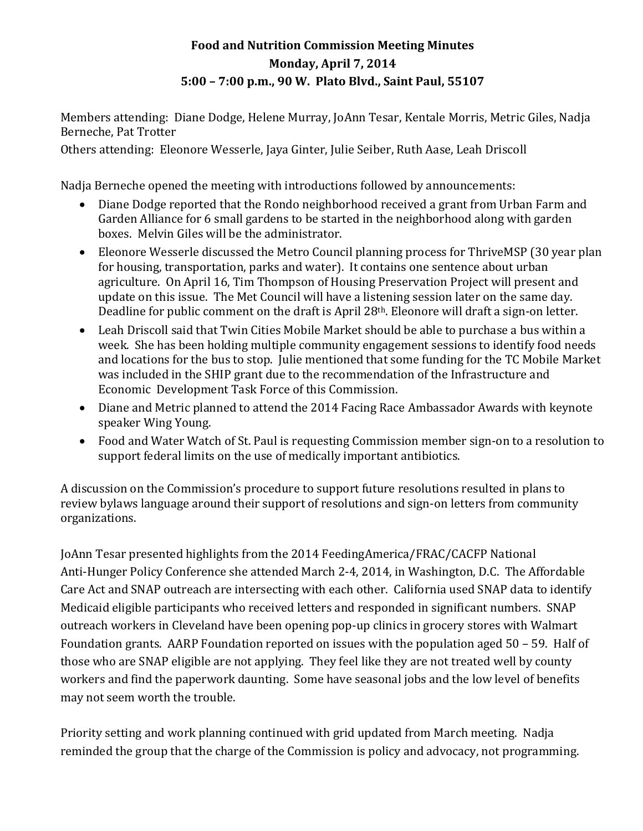## **Food and Nutrition Commission Meeting Minutes Monday, April 7, 2014 5:00 – 7:00 p.m., 90 W. Plato Blvd., Saint Paul, 55107**

Members attending: Diane Dodge, Helene Murray, JoAnn Tesar, Kentale Morris, Metric Giles, Nadja Berneche, Pat Trotter

Others attending: Eleonore Wesserle, Jaya Ginter, Julie Seiber, Ruth Aase, Leah Driscoll

Nadja Berneche opened the meeting with introductions followed by announcements:

- Diane Dodge reported that the Rondo neighborhood received a grant from Urban Farm and Garden Alliance for 6 small gardens to be started in the neighborhood along with garden boxes. Melvin Giles will be the administrator.
- Eleonore Wesserle discussed the Metro Council planning process for ThriveMSP (30 year plan for housing, transportation, parks and water). It contains one sentence about urban agriculture. On April 16, Tim Thompson of Housing Preservation Project will present and update on this issue. The Met Council will have a listening session later on the same day. Deadline for public comment on the draft is April 28th. Eleonore will draft a sign-on letter.
- Leah Driscoll said that Twin Cities Mobile Market should be able to purchase a bus within a week. She has been holding multiple community engagement sessions to identify food needs and locations for the bus to stop. Julie mentioned that some funding for the TC Mobile Market was included in the SHIP grant due to the recommendation of the Infrastructure and Economic Development Task Force of this Commission.
- Diane and Metric planned to attend the 2014 Facing Race Ambassador Awards with keynote speaker Wing Young.
- Food and Water Watch of St. Paul is requesting Commission member sign-on to a resolution to support federal limits on the use of medically important antibiotics.

A discussion on the Commission's procedure to support future resolutions resulted in plans to review bylaws language around their support of resolutions and sign-on letters from community organizations.

JoAnn Tesar presented highlights from the 2014 FeedingAmerica/FRAC/CACFP National Anti-Hunger Policy Conference she attended March 2-4, 2014, in Washington, D.C. The Affordable Care Act and SNAP outreach are intersecting with each other. California used SNAP data to identify Medicaid eligible participants who received letters and responded in significant numbers. SNAP outreach workers in Cleveland have been opening pop-up clinics in grocery stores with Walmart Foundation grants. AARP Foundation reported on issues with the population aged 50 – 59. Half of those who are SNAP eligible are not applying. They feel like they are not treated well by county workers and find the paperwork daunting. Some have seasonal jobs and the low level of benefits may not seem worth the trouble.

Priority setting and work planning continued with grid updated from March meeting. Nadja reminded the group that the charge of the Commission is policy and advocacy, not programming.